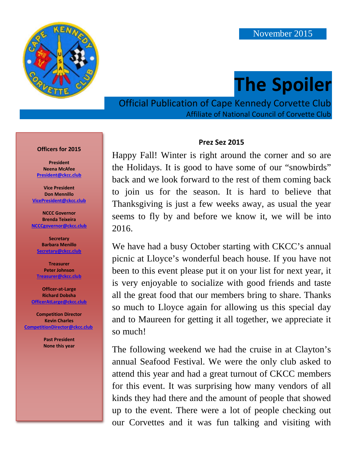

# **The Spoiler**

Official Publication of Cape Kennedy Corvette Club Affiliate of National Council of Corvette Club

#### **Officers for 2015**

**President Neena McAfee [President@ckcc.club](mailto:president@ckcc.club)**

**Vice President Don Mennillo [VicePresident@ckcc.club](mailto:vicepresident@ckcc.club)**

**NCCC Governor Brenda Teixeira [NCCCgovernor@ckcc.club](mailto:NCCCgovernor@ckcc.club)**

**Secretary Barbara Menillo [Secretary@ckcc.club](mailto:secretary@ckcc.club)**

**Treasurer Peter Johnson [Treasurer@ckcc.club](mailto:treasurer@ckcc.club)**

**Officer-at-Large Richard Dobsha [OfficerAtLarge@ckcc.club](mailto:OfficerAtLarge@ckcc.club)**

**Competition Director Kevin Charles [CompetitionDirector@ckcc.club](mailto:CompetitionDirector@ckcc.club)**

> **Past President None this year**

#### **Prez Sez 2015**

Happy Fall! Winter is right around the corner and so are the Holidays. It is good to have some of our "snowbirds" back and we look forward to the rest of them coming back to join us for the season. It is hard to believe that Thanksgiving is just a few weeks away, as usual the year seems to fly by and before we know it, we will be into 2016.

We have had a busy October starting with CKCC's annual picnic at Lloyce's wonderful beach house. If you have not been to this event please put it on your list for next year, it is very enjoyable to socialize with good friends and taste all the great food that our members bring to share. Thanks so much to Lloyce again for allowing us this special day and to Maureen for getting it all together, we appreciate it so much!

The following weekend we had the cruise in at Clayton's annual Seafood Festival. We were the only club asked to attend this year and had a great turnout of CKCC members for this event. It was surprising how many vendors of all kinds they had there and the amount of people that showed up to the event. There were a lot of people checking out our Corvettes and it was fun talking and visiting with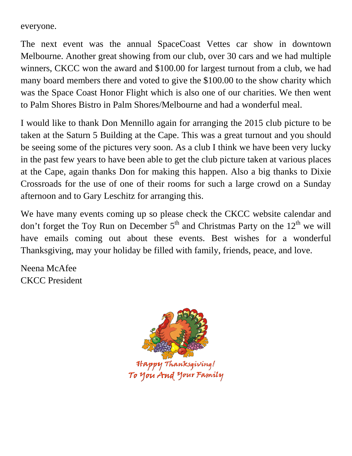everyone.

The next event was the annual SpaceCoast Vettes car show in downtown Melbourne. Another great showing from our club, over 30 cars and we had multiple winners, CKCC won the award and \$100.00 for largest turnout from a club, we had many board members there and voted to give the \$100.00 to the show charity which was the Space Coast Honor Flight which is also one of our charities. We then went to Palm Shores Bistro in Palm Shores/Melbourne and had a wonderful meal.

I would like to thank Don Mennillo again for arranging the 2015 club picture to be taken at the Saturn 5 Building at the Cape. This was a great turnout and you should be seeing some of the pictures very soon. As a club I think we have been very lucky in the past few years to have been able to get the club picture taken at various places at the Cape, again thanks Don for making this happen. Also a big thanks to Dixie Crossroads for the use of one of their rooms for such a large crowd on a Sunday afternoon and to Gary Leschitz for arranging this.

We have many events coming up so please check the CKCC website calendar and don't forget the Toy Run on December  $5<sup>th</sup>$  and Christmas Party on the  $12<sup>th</sup>$  we will have emails coming out about these events. Best wishes for a wonderful Thanksgiving, may your holiday be filled with family, friends, peace, and love.

Neena McAfee CKCC President



To you And your Family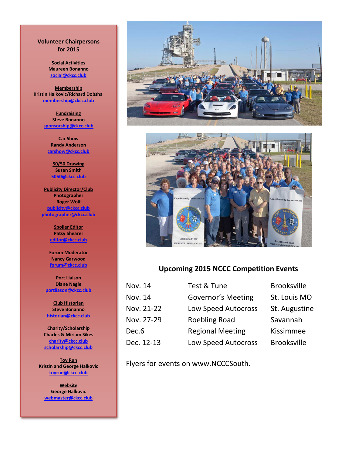#### **Volunteer Chairpersons for 2015**

**Social Activities Maureen Bonanno [social@ckcc.club](mailto:social@ckcc.club)**

**Membership Kristin Halkovic/Richard Dobsha [membership@ckcc.club](mailto:membership@ckcc.club)**

> **Fundraising Steve Bonanno [sponsorship@ckcc.club](mailto:sponsorship@ckcc.club)**

**Car Show Randy Anderson [carshow@ckcc.club](mailto:carshow@ckcc.club)**

**50/50 Drawing Susan Smith [5050@ckcc.club](mailto:5050@ckcc.club)**

**Publicity Director/Club Photographer Roger Wolf [publicity@ckcc.club](mailto:publicity@ckcc.club) [photographer@ckcc.club](mailto:photographer@ckcc.club)**

> **Spoiler Editor Patsy Shearer [editor@ckcc.club](mailto:editor@ckcc.club)**

**Forum Moderator Nancy Garwood [forum@ckcc.club](mailto:forum@ckcc.club)**

**Port Liaison Diane Nagle [portliason@ckcc.club](mailto:portliason@ckcc.club)**

**Club Historian Steve Bonanno [historian@ckcc.club](mailto:historian@ckcc.club)**

**Charity/Scholarship Charles & Miriam Sikes [charity@ckcc.club](mailto:charity@ckcc.club) [scholarship@ckcc.club](mailto:scholarship@ckcc.club)**

**Toy Run Kristin and George Halkovic [toyrun@ckcc.club](mailto:toyrun@ckcc.club)**

**Website George Halkovic [webmaster@ckcc.club](mailto:webmaster@ckcc.club)**





#### **Upcoming 2015 NCCC Competition Events**

| Nov. 14    | Test & Tune                | <b>Brooksville</b> |
|------------|----------------------------|--------------------|
| Nov. 14    | <b>Governor's Meeting</b>  | St. Louis MO       |
| Nov. 21-22 | <b>Low Speed Autocross</b> | St. Augustine      |
| Nov. 27-29 | <b>Roebling Road</b>       | Savannah           |
| Dec.6      | <b>Regional Meeting</b>    | Kissimmee          |
| Dec. 12-13 | <b>Low Speed Autocross</b> | <b>Brooksville</b> |
|            |                            |                    |

Flyers for events on www.NCCCSouth.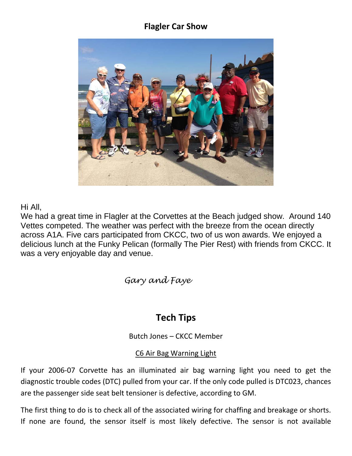#### **Flagler Car Show**



Hi All,

We had a great time in Flagler at the Corvettes at the Beach judged show. Around 140 Vettes competed. The weather was perfect with the breeze from the ocean directly across A1A. Five cars participated from CKCC, two of us won awards. We enjoyed a delicious lunch at the Funky Pelican (formally The Pier Rest) with friends from CKCC. It was a very enjoyable day and venue.

*Gary and Faye*

## **Tech Tips**

Butch Jones – CKCC Member

#### C6 Air Bag Warning Light

If your 2006-07 Corvette has an illuminated air bag warning light you need to get the diagnostic trouble codes (DTC) pulled from your car. If the only code pulled is DTC023, chances are the passenger side seat belt tensioner is defective, according to GM.

The first thing to do is to check all of the associated wiring for chaffing and breakage or shorts. If none are found, the sensor itself is most likely defective. The sensor is not available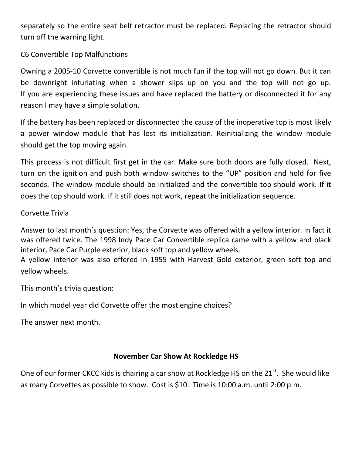separately so the entire seat belt retractor must be replaced. Replacing the retractor should turn off the warning light.

C6 Convertible Top Malfunctions

Owning a 2005-10 Corvette convertible is not much fun if the top will not go down. But it can be downright infuriating when a shower slips up on you and the top will not go up. If you are experiencing these issues and have replaced the battery or disconnected it for any reason I may have a simple solution.

If the battery has been replaced or disconnected the cause of the inoperative top is most likely a power window module that has lost its initialization. Reinitializing the window module should get the top moving again.

This process is not difficult first get in the car. Make sure both doors are fully closed. Next, turn on the ignition and push both window switches to the "UP" position and hold for five seconds. The window module should be initialized and the convertible top should work. If it does the top should work. If it still does not work, repeat the initialization sequence.

#### Corvette Trivia

Answer to last month's question: Yes, the Corvette was offered with a yellow interior. In fact it was offered twice. The 1998 Indy Pace Car Convertible replica came with a yellow and black interior, Pace Car Purple exterior, black soft top and yellow wheels.

A yellow interior was also offered in 1955 with Harvest Gold exterior, green soft top and yellow wheels.

This month's trivia question:

In which model year did Corvette offer the most engine choices?

The answer next month.

#### **November Car Show At Rockledge HS**

One of our former CKCC kids is chairing a car show at Rockledge HS on the 21<sup>st</sup>. She would like as many Corvettes as possible to show. Cost is \$10. Time is 10:00 a.m. until 2:00 p.m.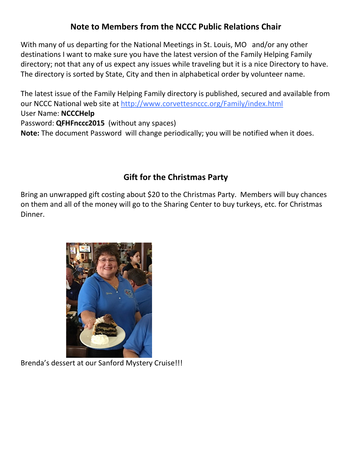### **Note to Members from the NCCC Public Relations Chair**

With many of us departing for the National Meetings in St. Louis, MO and/or any other destinations I want to make sure you have the latest version of the Family Helping Family directory; not that any of us expect any issues while traveling but it is a nice Directory to have. The directory is sorted by State, City and then in alphabetical order by volunteer name.

The latest issue of the Family Helping Family directory is published, secured and available from our NCCC National web site at<http://www.corvettesnccc.org/Family/index.html> User Name: **NCCCHelp** Password: **QFHFnccc2015** (without any spaces) **Note:** The document Password will change periodically; you will be notified when it does.

### **Gift for the Christmas Party**

Bring an unwrapped gift costing about \$20 to the Christmas Party. Members will buy chances on them and all of the money will go to the Sharing Center to buy turkeys, etc. for Christmas Dinner.



Brenda's dessert at our Sanford Mystery Cruise!!!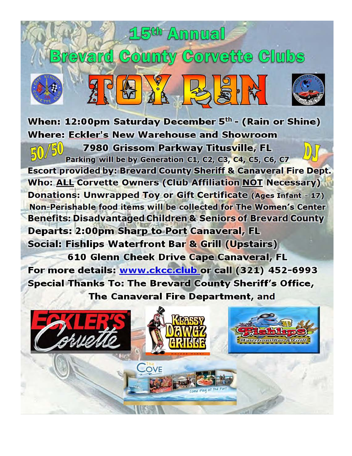## When: 12:00pm Saturday December  $5<sup>th</sup>$  - (Rain or Shine) **Where: Eckler's New Warehouse and Showroom**

15<sup>th</sup> Annual

**Brevard County Corvette Clubs** 

7980 Grissom Parkway Titusville, FL Parking will be by Generation C1, C2, C3, C4, C5, C6, C7 **Escort provided by: Brevard County Sheriff & Canaveral Fire Dept. Who: ALL Corvette Owners (Club Affiliation NOT Necessary) Donations: Unwrapped Toy or Gift Certificate (Ages Infant - 17)** Non-Perishable food items will be collected for The Women's Center **Benefits: Disadvantaged Children & Seniors of Brevard County Departs: 2:00pm Sharp to Port Canaveral, FL** Social: Fishlips Waterfront Bar & Grill (Upstairs)

**610 Glenn Cheek Drive Cape Canaveral, FL** For more details: www.ckcc.club or call (321) 452-6993 **Special Thanks To: The Brevard County Sheriff's Office,** The Canaveral Fire Department, and

COVE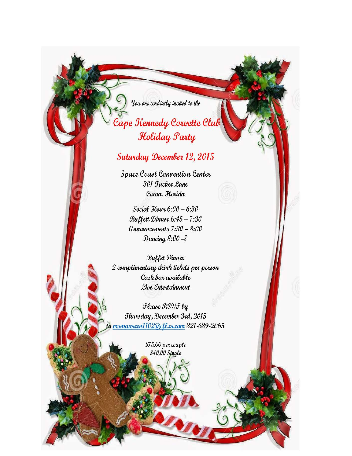You are cordially invited to the

## Cape Kennedy Corvette Clu Holiday Party

### Saturday December 12, 2015

Space Coast Convention Center 301 Jucker Lane Cocoa, Florida

Social Hour 6:00 - 6:30 Buffett Dinner 6:45 - 7:30  $An nouncements 7:30 - 8:00$ Dancing  $8:00-2$ 

**Buffet Dinner** 2 complimentary drink tickets per person Cash bar available Live Entertainment

Please RSVP by Thursday, December 3rd, 2015 msmauveen1102@cfl.vx.com 321-639-2065

> \$75.00 per couple \$40.00 Single